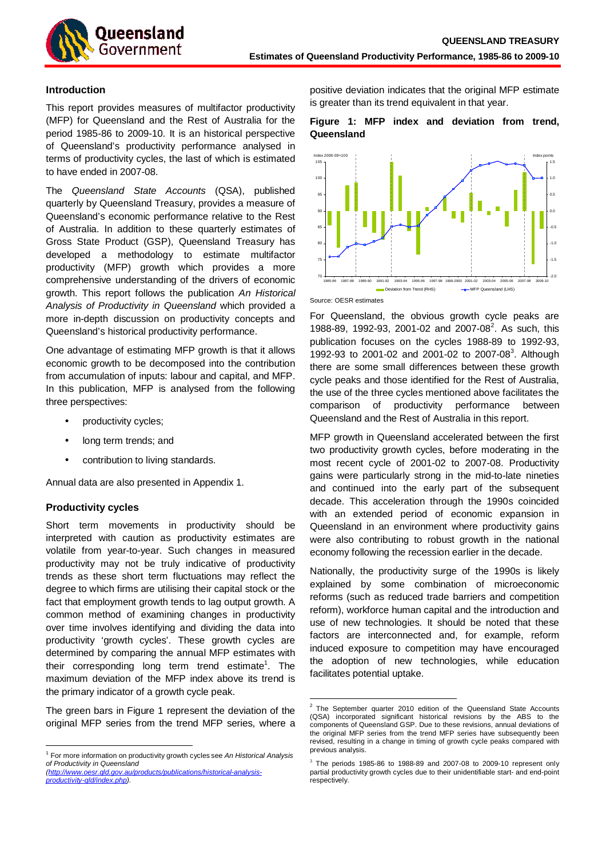

# **Introduction**

This report provides measures of multifactor productivity (MFP) for Queensland and the Rest of Australia for the period 1985-86 to 2009-10. It is an historical perspective of Queensland's productivity performance analysed in terms of productivity cycles, the last of which is estimated to have ended in 2007-08.

The Queensland State Accounts (QSA), published quarterly by Queensland Treasury, provides a measure of Queensland's economic performance relative to the Rest of Australia. In addition to these quarterly estimates of Gross State Product (GSP), Queensland Treasury has developed a methodology to estimate multifactor productivity (MFP) growth which provides a more comprehensive understanding of the drivers of economic growth. This report follows the publication An Historical Analysis of Productivity in Queensland which provided a more in-depth discussion on productivity concepts and Queensland's historical productivity performance.

One advantage of estimating MFP growth is that it allows economic growth to be decomposed into the contribution from accumulation of inputs: labour and capital, and MFP. In this publication, MFP is analysed from the following three perspectives:

- productivity cycles;
- long term trends; and
- contribution to living standards.

Annual data are also presented in Appendix 1.

# **Productivity cycles**

 $\overline{a}$ 

Short term movements in productivity should be interpreted with caution as productivity estimates are volatile from year-to-year. Such changes in measured productivity may not be truly indicative of productivity trends as these short term fluctuations may reflect the degree to which firms are utilising their capital stock or the fact that employment growth tends to lag output growth. A common method of examining changes in productivity over time involves identifying and dividing the data into productivity 'growth cycles'. These growth cycles are determined by comparing the annual MFP estimates with their corresponding long term trend estimate<sup>1</sup>. The maximum deviation of the MFP index above its trend is the primary indicator of a growth cycle peak.

The green bars in Figure 1 represent the deviation of the original MFP series from the trend MFP series, where a positive deviation indicates that the original MFP estimate is greater than its trend equivalent in that year.

# **Figure 1: MFP index and deviation from trend, Queensland**



Source: OESR estimates

For Queensland, the obvious growth cycle peaks are 1988-89, 1992-93, 2001-02 and 2007-08<sup>2</sup>. As such, this publication focuses on the cycles 1988-89 to 1992-93, 1992-93 to 2001-02 and 2001-02 to 2007-08<sup>3</sup>. Although there are some small differences between these growth cycle peaks and those identified for the Rest of Australia, the use of the three cycles mentioned above facilitates the comparison of productivity performance between Queensland and the Rest of Australia in this report.

MFP growth in Queensland accelerated between the first two productivity growth cycles, before moderating in the most recent cycle of 2001-02 to 2007-08. Productivity gains were particularly strong in the mid-to-late nineties and continued into the early part of the subsequent decade. This acceleration through the 1990s coincided with an extended period of economic expansion in Queensland in an environment where productivity gains were also contributing to robust growth in the national economy following the recession earlier in the decade.

Nationally, the productivity surge of the 1990s is likely explained by some combination of microeconomic reforms (such as reduced trade barriers and competition reform), workforce human capital and the introduction and use of new technologies. It should be noted that these factors are interconnected and, for example, reform induced exposure to competition may have encouraged the adoption of new technologies, while education facilitates potential uptake.

 $1$  For more information on productivity growth cycles see An Historical Analysis of Productivity in Queensland (http://www.oesr.qld.gov.au/products/publications/historical-analysis-

productivity-qld/index.php).

 $\overline{a}$  $2$  The September quarter 2010 edition of the Queensland State Accounts (QSA) incorporated significant historical revisions by the ABS to the components of Queensland GSP. Due to these revisions, annual deviations of the original MFP series from the trend MFP series have subsequently been revised, resulting in a change in timing of growth cycle peaks compared with previous analysis.

 $3$  The periods 1985-86 to 1988-89 and 2007-08 to 2009-10 represent only partial productivity growth cycles due to their unidentifiable start- and end-point respectively.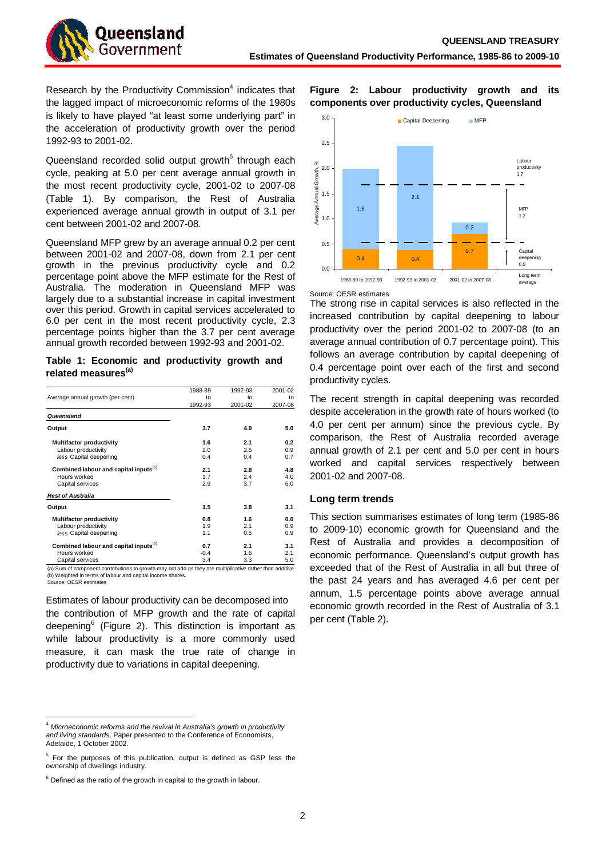Research by the Productivity Commission $4$  indicates that the lagged impact of microeconomic reforms of the 1980s is likely to have played "at least some underlying part" in the acceleration of productivity growth over the period 1992-93 to 2001-02.

Queensland recorded solid output growth<sup>5</sup> through each cycle, peaking at 5.0 per cent average annual growth in the most recent productivity cycle, 2001-02 to 2007-08 (Table 1). By comparison, the Rest of Australia experienced average annual growth in output of 3.1 per cent between 2001-02 and 2007-08.

Queensland MFP grew by an average annual 0.2 per cent between 2001-02 and 2007-08, down from 2.1 per cent growth in the previous productivity cycle and 0.2 percentage point above the MFP estimate for the Rest of Australia. The moderation in Queensland MFP was largely due to a substantial increase in capital investment over this period. Growth in capital services accelerated to 6.0 per cent in the most recent productivity cycle, 2.3 percentage points higher than the 3.7 per cent average annual growth recorded between 1992-93 and 2001-02.

|  |                                 | Table 1: Economic and productivity growth and |  |
|--|---------------------------------|-----------------------------------------------|--|
|  | related measures <sup>(a)</sup> |                                               |  |

|                                                   | 1988-89 | 1992-93 | 2001-02 |
|---------------------------------------------------|---------|---------|---------|
| Average annual growth (per cent)                  | to      | to      | to      |
|                                                   | 1992-93 | 2001-02 | 2007-08 |
| Queensland                                        |         |         |         |
| Output                                            | 3.7     | 4.9     | 5.0     |
| <b>Multifactor productivity</b>                   | 1.6     | 2.1     | 0.2     |
| Labour productivity                               | 2.0     | 2.5     | 0.9     |
| less Capital deepening                            | 0.4     | 0.4     | 0.7     |
| Combined labour and capital inputs <sup>(b)</sup> | 2.1     | 2.8     | 4.8     |
| Hours worked                                      | 1.7     | 2.4     | 4.0     |
| Capital services                                  | 2.9     | 3.7     | 6.0     |
| <b>Rest of Australia</b>                          |         |         |         |
| Output                                            | 1.5     | 3.8     | 3.1     |
| <b>Multifactor productivity</b>                   | 0.8     | 1.6     | 0.0     |
| Labour productivity                               | 1.9     | 2.1     | 0.9     |
| less Capital deepening                            | 1.1     | 0.5     | 0.9     |
| Combined labour and capital inputs <sup>(b)</sup> | 0.7     | 2.1     | 3.1     |
| Hours worked                                      | $-0.4$  | 1.6     | 2.1     |
| Capital services                                  | 3.4     | 3.3     | 5.0     |

m of component contributions to growth may not add as (b) Weighted in terms of labour and capital income shares.

Source: OESR estimates

 $\overline{a}$ 

Estimates of labour productivity can be decomposed into the contribution of MFP growth and the rate of capital deepening<sup>6</sup> (Figure 2). This distinction is important as while labour productivity is a more commonly used measure, it can mask the true rate of change in productivity due to variations in capital deepening.

**Figure 2: Labour productivity growth and its components over productivity cycles, Queensland** 



Source: OESR estimates

The strong rise in capital services is also reflected in the increased contribution by capital deepening to labour productivity over the period 2001-02 to 2007-08 (to an average annual contribution of 0.7 percentage point). This follows an average contribution by capital deepening of 0.4 percentage point over each of the first and second productivity cycles.

The recent strength in capital deepening was recorded despite acceleration in the growth rate of hours worked (to 4.0 per cent per annum) since the previous cycle. By comparison, the Rest of Australia recorded average annual growth of 2.1 per cent and 5.0 per cent in hours worked and capital services respectively between 2001-02 and 2007-08.

# **Long term trends**

This section summarises estimates of long term (1985-86 to 2009-10) economic growth for Queensland and the Rest of Australia and provides a decomposition of economic performance. Queensland's output growth has exceeded that of the Rest of Australia in all but three of the past 24 years and has averaged 4.6 per cent per annum, 1.5 percentage points above average annual economic growth recorded in the Rest of Australia of 3.1 per cent (Table 2).

<sup>4</sup> Microeconomic reforms and the revival in Australia's growth in productivity and living standards, Paper presented to the Conference of Economists, Adelaide, 1 October 2002.

<sup>&</sup>lt;sup>5</sup> For the purposes of this publication, output is defined as GSP less the ownership of dwellings industry.

 $6$  Defined as the ratio of the growth in capital to the growth in labour.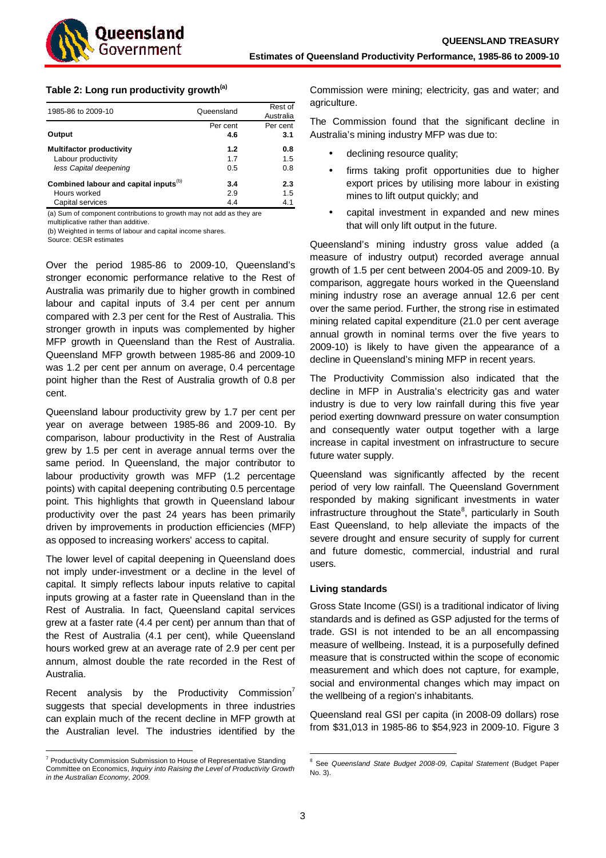

# **Table 2: Long run productivity growth(a)**

| 1985-86 to 2009-10                                | Queensland | Rest of<br>Australia |
|---------------------------------------------------|------------|----------------------|
|                                                   | Per cent   | Per cent             |
| Output                                            | 4.6        | 3.1                  |
| <b>Multifactor productivity</b>                   | 1.2        | 0.8                  |
| Labour productivity                               | 1.7        | 1.5                  |
| less Capital deepening                            | 0.5        | 0.8                  |
| Combined labour and capital inputs <sup>(b)</sup> | 3.4        | 2.3                  |
| Hours worked                                      | 2.9        | 1.5                  |
| Capital services                                  | 4.4        | 4.1                  |

(a) Sum of component contributions to growth may not add as they are

multiplicative rather than additive.

(b) Weighted in terms of labour and capital income shares.

Source: OESR estimates

Over the period 1985-86 to 2009-10, Queensland's stronger economic performance relative to the Rest of Australia was primarily due to higher growth in combined labour and capital inputs of 3.4 per cent per annum compared with 2.3 per cent for the Rest of Australia. This stronger growth in inputs was complemented by higher MFP growth in Queensland than the Rest of Australia. Queensland MFP growth between 1985-86 and 2009-10 was 1.2 per cent per annum on average, 0.4 percentage point higher than the Rest of Australia growth of 0.8 per cent.

Queensland labour productivity grew by 1.7 per cent per year on average between 1985-86 and 2009-10. By comparison, labour productivity in the Rest of Australia grew by 1.5 per cent in average annual terms over the same period. In Queensland, the major contributor to labour productivity growth was MFP (1.2 percentage points) with capital deepening contributing 0.5 percentage point. This highlights that growth in Queensland labour productivity over the past 24 years has been primarily driven by improvements in production efficiencies (MFP) as opposed to increasing workers' access to capital.

The lower level of capital deepening in Queensland does not imply under-investment or a decline in the level of capital. It simply reflects labour inputs relative to capital inputs growing at a faster rate in Queensland than in the Rest of Australia. In fact, Queensland capital services grew at a faster rate (4.4 per cent) per annum than that of the Rest of Australia (4.1 per cent), while Queensland hours worked grew at an average rate of 2.9 per cent per annum, almost double the rate recorded in the Rest of Australia.

Recent analysis by the Productivity Commission' suggests that special developments in three industries can explain much of the recent decline in MFP growth at the Australian level. The industries identified by the

 $\overline{a}$ 

Commission were mining; electricity, gas and water; and agriculture.

The Commission found that the significant decline in Australia's mining industry MFP was due to:

- declining resource quality;
- firms taking profit opportunities due to higher export prices by utilising more labour in existing mines to lift output quickly; and
- capital investment in expanded and new mines that will only lift output in the future.

Queensland's mining industry gross value added (a measure of industry output) recorded average annual growth of 1.5 per cent between 2004-05 and 2009-10. By comparison, aggregate hours worked in the Queensland mining industry rose an average annual 12.6 per cent over the same period. Further, the strong rise in estimated mining related capital expenditure (21.0 per cent average annual growth in nominal terms over the five years to 2009-10) is likely to have given the appearance of a decline in Queensland's mining MFP in recent years.

The Productivity Commission also indicated that the decline in MFP in Australia's electricity gas and water industry is due to very low rainfall during this five year period exerting downward pressure on water consumption and consequently water output together with a large increase in capital investment on infrastructure to secure future water supply.

Queensland was significantly affected by the recent period of very low rainfall. The Queensland Government responded by making significant investments in water infrastructure throughout the State<sup>8</sup>, particularly in South East Queensland, to help alleviate the impacts of the severe drought and ensure security of supply for current and future domestic, commercial, industrial and rural users.

# **Living standards**

Gross State Income (GSI) is a traditional indicator of living standards and is defined as GSP adjusted for the terms of trade. GSI is not intended to be an all encompassing measure of wellbeing. Instead, it is a purposefully defined measure that is constructed within the scope of economic measurement and which does not capture, for example, social and environmental changes which may impact on the wellbeing of a region's inhabitants.

Queensland real GSI per capita (in 2008-09 dollars) rose from \$31,013 in 1985-86 to \$54,923 in 2009-10. Figure 3

<sup>&</sup>lt;sup>7</sup> Productivity Commission Submission to House of Representative Standing Committee on Economics, Inquiry into Raising the Level of Productivity Growth in the Australian Economy, 2009.

 $\overline{\phantom{a}}$ <sup>8</sup> See Queensland State Budget 2008-09, Capital Statement (Budget Paper No. 3).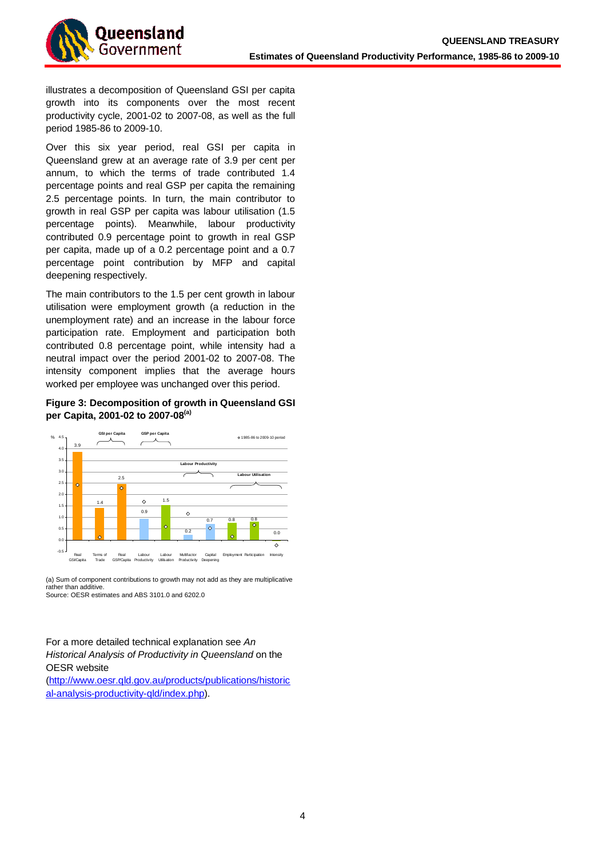

illustrates a decomposition of Queensland GSI per capita growth into its components over the most recent productivity cycle, 2001-02 to 2007-08, as well as the full period 1985-86 to 2009-10.

Over this six year period, real GSI per capita in Queensland grew at an average rate of 3.9 per cent per annum, to which the terms of trade contributed 1.4 percentage points and real GSP per capita the remaining 2.5 percentage points. In turn, the main contributor to growth in real GSP per capita was labour utilisation (1.5 percentage points). Meanwhile, labour productivity contributed 0.9 percentage point to growth in real GSP per capita, made up of a 0.2 percentage point and a 0.7 percentage point contribution by MFP and capital deepening respectively.

The main contributors to the 1.5 per cent growth in labour utilisation were employment growth (a reduction in the unemployment rate) and an increase in the labour force participation rate. Employment and participation both contributed 0.8 percentage point, while intensity had a neutral impact over the period 2001-02 to 2007-08. The intensity component implies that the average hours worked per employee was unchanged over this period.

# **Figure 3: Decomposition of growth in Queensland GSI per Capita, 2001-02 to 2007-08(a)**



(a) Sum of component contributions to growth may not add as they are multiplicative rather than additive. Source: OESR estimates and ABS 3101.0 and 6202.0

# For a more detailed technical explanation see An Historical Analysis of Productivity in Queensland on the OESR website

[\(http://www.oesr.qld.gov.au/products/publications/historic](http://www.oesr.qld.gov.au/products/publications/historical-analysis-productivity-qld/index.php) al-analysis-productivity-qld/index.php).